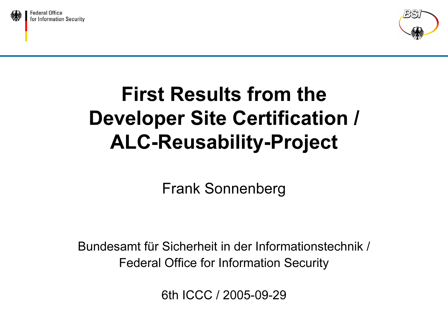



### First Results from theDeveloper Site Certification / ALC-Reusability-Project

Frank Sonnenberg

Bundesamt für Sicherheit in der Informationstechnik /Federal Office for Information Security

6th ICCC / 2005-09-29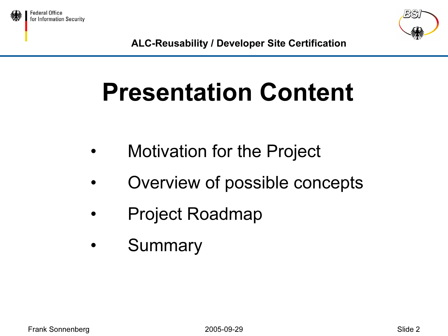





# Presentation Content

- •Motivation for the Project
- •Overview of possible concepts
- •Project Roadmap
- •Summary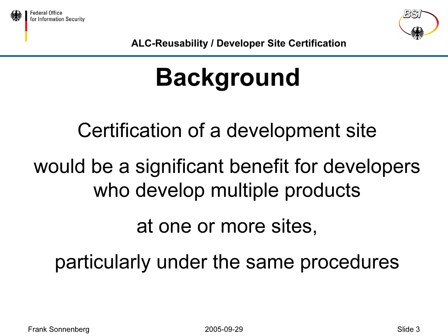



# Background

### Certification of a development site

### would be a significant benefit for developers who develop multiple products

### at one or more sites,

### particularly under the same procedures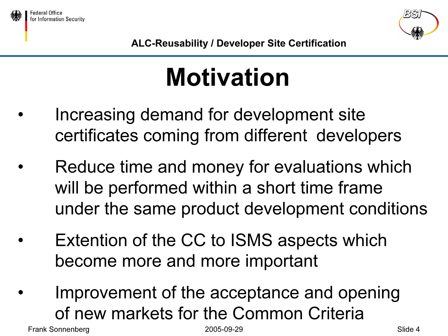



# Motivation

- • Increasing demand for development site certificates coming from different developers
- • Reduce time and money for evaluations which will be performed within a short time frame under the same product development conditions
- • Extention of the CC to ISMS aspects which become more and more important
- • Improvement of the acceptance and opening of new markets for the Common Criteria

Frank Sonnenberg 2005-09-29 Slide 4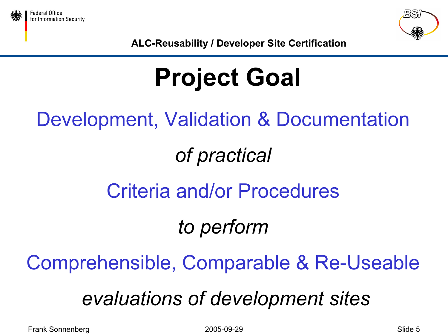



# Project Goal

Development, Validation & Documentation

### of practical

### Criteria and/or Procedures

### to perform

### Comprehensible, Comparable & Re-Useable

### evaluations of development sites

Frank Sonnenberg 2005-09-29 Slide 5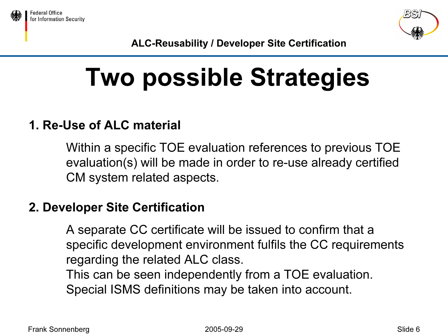



## Two possible Strategies

#### 1. Re-Use of ALC material

Within a specific TOE evaluation references to previous TOE evaluation(s) will be made in order to re-use already certified CM system related aspects.

#### 2. Developer Site Certification

A separate CC certificate will be issued to confirm that a specific development environment fulfils the CC requirements regarding the related ALC class.

This can be seen independently from a TOE evaluation. Special ISMS definitions may be taken into account.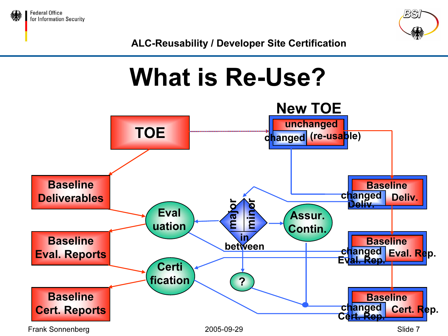



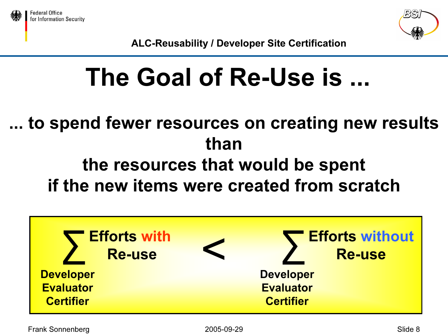



### The Goal of Re-Use is ...

### ... to spend fewer resources on creating new results thanthe resources that would be spent if the new items were created from scratch

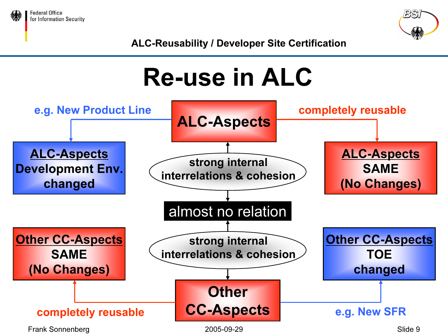



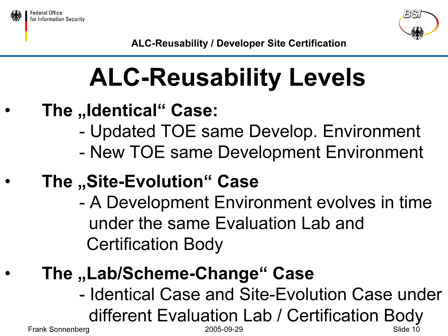





# ALC-Reusability Levels

- •The "Identical" Case:
	- Updated TOE same Develop. Environment
	- New TOE same Development Environment
- •The "Site-Evolution" Case
	- - A Development Environment evolves in time under the same Evaluation Lab andCertification Body
	- The "Lab/Scheme-Change" Case
		- Frank Sonnenberg 2005-09-29 Slide 10 - Identical Case and Site-Evolution Case under different Evaluation Lab / Certification Body

•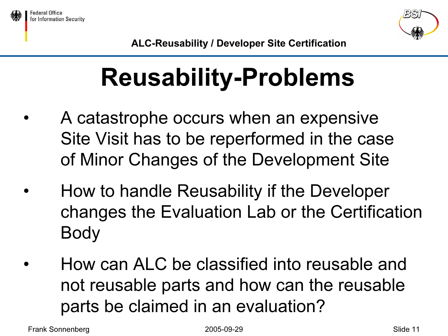



## Reusability-Problems

- • A catastrophe occurs when an expensive Site Visit has to be reperformed in the case of Minor Changes of the Development Site
- • How to handle Reusability if the Developer changes the Evaluation Lab or the Certification Body
- • How can ALC be classified into reusable andnot reusable parts and how can the reusable parts be claimed in an evaluation?

Frank Sonnenberg 2005-09-29 Slide 11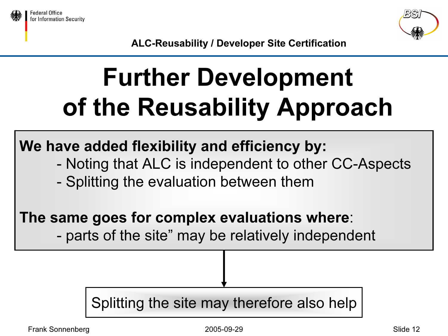



# Further Development of the Reusability Approach

### We have added flexibility and efficiency by:

- -Noting that ALC is independent to other CC-Aspects
- -Splitting the evaluation between them

### The same goes for complex evaluations where:

parts of the site" may be relatively independent

### Splitting the site may therefore also help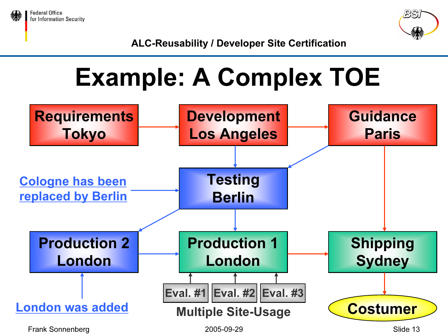



## Example: A Complex TOE

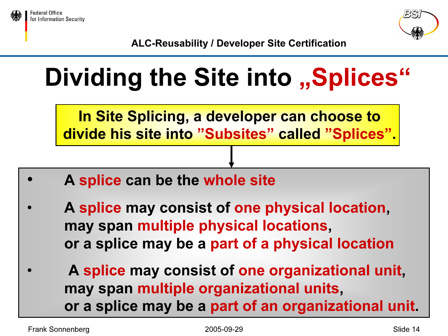



# Dividing the Site into "Splices"

In Site Splicing, a developer can choose to divide his site into "Subsites" called "Splices".

- •A splice can be the whole site
- • A splice may consist of one physical location, may span multiple physical locations, or a splice may be a part of a physical location
- • A splice may consist of one organizational unit, may span multiple organizational units, or a splice may be a part of an organizational unit.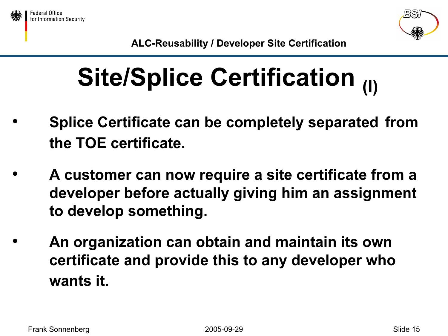



# Site/Splice Certification (I)

- • Splice Certificate can be completely separated from the TOE certificate.
- • A customer can now require a site certificate from a developer before actually giving him an assignment to develop something.
- • An organization can obtain and maintain its own certificate and provide this to any developer who wants it.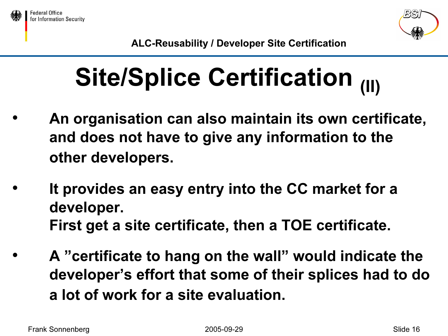



# Site/Splice Certification (II)

- • An organisation can also maintain its own certificate, and does not have to give any information to the other developers.
- • It provides an easy entry into the CC market for a developer. First get a site certificate, then a TOE certificate.
- • A "certificate to hang on the wall" would indicate the developer's effort that some of their splices had to do a lot of work for a site evaluation.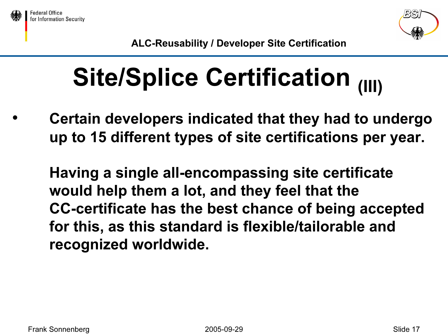



# Site/Splice Certification (III)

• Certain developers indicated that they had to undergo up to 15 different types of site certifications per year.

Having a single all-encompassing site certificate would help them a lot, and they feel that the CC-certificate has the best chance of being accepted for this, as this standard is flexible/tailorable and recognized worldwide.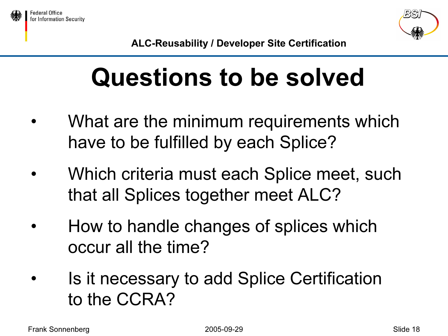



### Questions to be solved

- • What are the minimum requirements which have to be fulfilled by each Splice?
- • Which criteria must each Splice meet, such that all Splices together meet ALC?
- • How to handle changes of splices which occur all the time?
- • Is it necessary to add Splice Certification to the CCRA?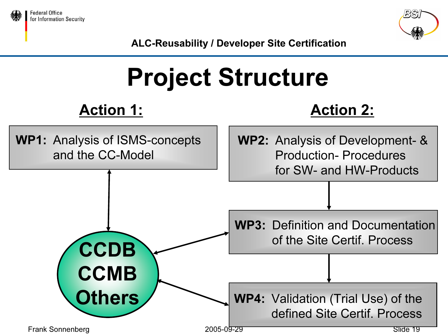



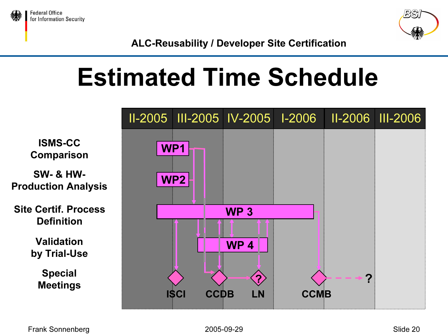



### Estimated Time Schedule

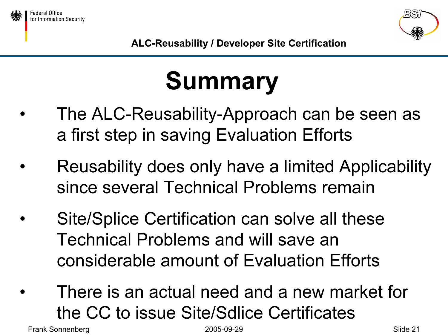



# Summary

- • The ALC-Reusability-Approach can be seen as a first step in saving Evaluation Efforts
- • Reusability does only have a limited Applicability since several Technical Problems remain
- • Site/Splice Certification can solve all these Technical Problems and will save anconsiderable amount of Evaluation Efforts
- • There is an actual need and a new market for the CC to issue Site/Sdlice Certificates

Frank Sonnenberg 2005-09-29 Slide 21